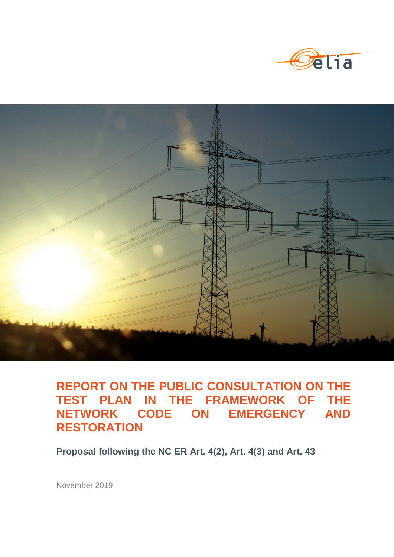



# **REPORT ON THE PUBLIC CONSULTATION ON THE TEST PLAN IN THE FRAMEWORK OF THE NETWORK CODE ON EMERGENCY AND RESTORATION**

**Proposal following the NC ER Art. 4(2), Art. 4(3) and Art. 43**

November 2019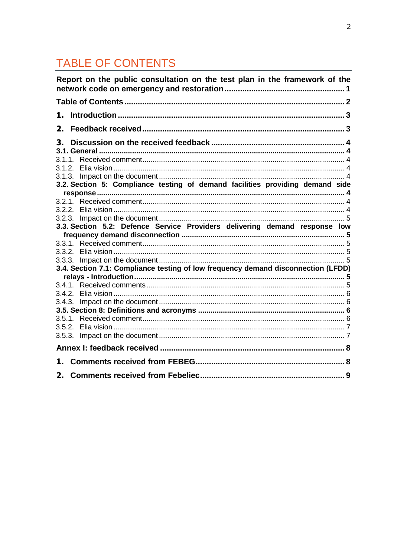# TABLE OF CONTENTS

|    | Report on the public consultation on the test plan in the framework of the        |  |
|----|-----------------------------------------------------------------------------------|--|
|    |                                                                                   |  |
| 1. |                                                                                   |  |
| 2. |                                                                                   |  |
| 3. |                                                                                   |  |
|    |                                                                                   |  |
|    |                                                                                   |  |
|    |                                                                                   |  |
|    | 3.2. Section 5: Compliance testing of demand facilities providing demand side     |  |
|    |                                                                                   |  |
|    |                                                                                   |  |
|    |                                                                                   |  |
|    |                                                                                   |  |
|    | 3.3. Section 5.2: Defence Service Providers delivering demand response low        |  |
|    |                                                                                   |  |
|    |                                                                                   |  |
|    |                                                                                   |  |
|    |                                                                                   |  |
|    | 3.4. Section 7.1: Compliance testing of low frequency demand disconnection (LFDD) |  |
|    |                                                                                   |  |
|    |                                                                                   |  |
|    |                                                                                   |  |
|    |                                                                                   |  |
|    |                                                                                   |  |
|    |                                                                                   |  |
|    |                                                                                   |  |
|    |                                                                                   |  |
|    |                                                                                   |  |
| 1. |                                                                                   |  |
| 2. |                                                                                   |  |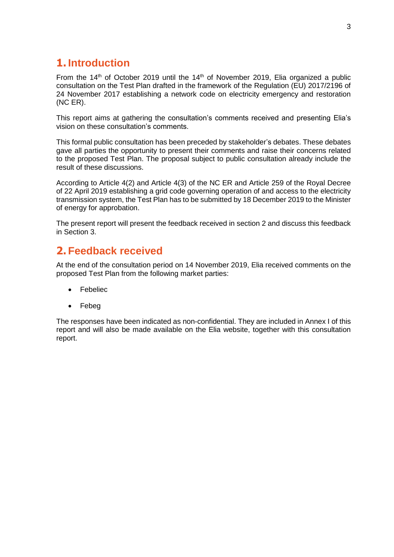## **1. Introduction**

From the 14<sup>th</sup> of October 2019 until the 14<sup>th</sup> of November 2019, Elia organized a public consultation on the Test Plan drafted in the framework of the Regulation (EU) 2017/2196 of 24 November 2017 establishing a network code on electricity emergency and restoration (NC ER).

This report aims at gathering the consultation's comments received and presenting Elia's vision on these consultation's comments.

This formal public consultation has been preceded by stakeholder's debates. These debates gave all parties the opportunity to present their comments and raise their concerns related to the proposed Test Plan. The proposal subject to public consultation already include the result of these discussions.

According to Article 4(2) and Article 4(3) of the NC ER and Article 259 of the Royal Decree of 22 April 2019 establishing a grid code governing operation of and access to the electricity transmission system, the Test Plan has to be submitted by 18 December 2019 to the Minister of energy for approbation.

The present report will present the feedback received in section 2 and discuss this feedback in Section 3.

## **2. Feedback received**

At the end of the consultation period on 14 November 2019, Elia received comments on the proposed Test Plan from the following market parties:

- Febeliec
- Febeg

The responses have been indicated as non-confidential. They are included in Annex I of this report and will also be made available on the Elia website, together with this consultation report.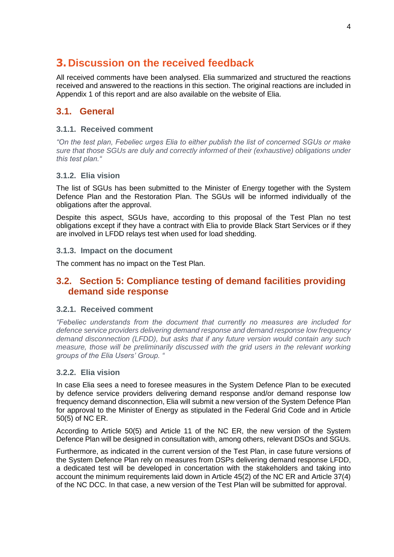## **3. Discussion on the received feedback**

All received comments have been analysed. Elia summarized and structured the reactions received and answered to the reactions in this section. The original reactions are included in Appendix 1 of this report and are also available on the website of Elia.

### **3.1. General**

### **3.1.1. Received comment**

*"On the test plan, Febeliec urges Elia to either publish the list of concerned SGUs or make sure that those SGUs are duly and correctly informed of their (exhaustive) obligations under this test plan."*

### **3.1.2. Elia vision**

The list of SGUs has been submitted to the Minister of Energy together with the System Defence Plan and the Restoration Plan. The SGUs will be informed individually of the obligations after the approval.

Despite this aspect, SGUs have, according to this proposal of the Test Plan no test obligations except if they have a contract with Elia to provide Black Start Services or if they are involved in LFDD relays test when used for load shedding.

### **3.1.3. Impact on the document**

The comment has no impact on the Test Plan.

### **3.2. Section 5: Compliance testing of demand facilities providing demand side response**

### **3.2.1. Received comment**

*"Febeliec understands from the document that currently no measures are included for defence service providers delivering demand response and demand response low frequency demand disconnection (LFDD), but asks that if any future version would contain any such measure, those will be preliminarily discussed with the grid users in the relevant working groups of the Elia Users' Group. "*

### **3.2.2. Elia vision**

In case Elia sees a need to foresee measures in the System Defence Plan to be executed by defence service providers delivering demand response and/or demand response low frequency demand disconnection, Elia will submit a new version of the System Defence Plan for approval to the Minister of Energy as stipulated in the Federal Grid Code and in Article 50(5) of NC ER.

According to Article 50(5) and Article 11 of the NC ER, the new version of the System Defence Plan will be designed in consultation with, among others, relevant DSOs and SGUs.

Furthermore, as indicated in the current version of the Test Plan, in case future versions of the System Defence Plan rely on measures from DSPs delivering demand response LFDD, a dedicated test will be developed in concertation with the stakeholders and taking into account the minimum requirements laid down in Article 45(2) of the NC ER and Article 37(4) of the NC DCC. In that case, a new version of the Test Plan will be submitted for approval.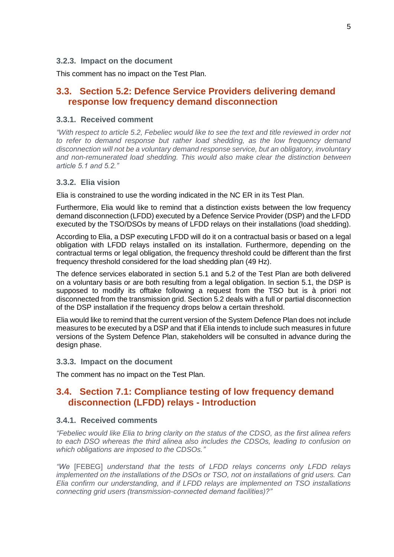#### **3.2.3. Impact on the document**

This comment has no impact on the Test Plan.

### **3.3. Section 5.2: Defence Service Providers delivering demand response low frequency demand disconnection**

#### **3.3.1. Received comment**

*"With respect to article 5.2, Febeliec would like to see the text and title reviewed in order not*  to refer to demand response but rather load shedding, as the low frequency demand *disconnection will not be a voluntary demand response service, but an obligatory, involuntary and non-remunerated load shedding. This would also make clear the distinction between article 5.1 and 5.2."*

#### **3.3.2. Elia vision**

Elia is constrained to use the wording indicated in the NC ER in its Test Plan.

Furthermore, Elia would like to remind that a distinction exists between the low frequency demand disconnection (LFDD) executed by a Defence Service Provider (DSP) and the LFDD executed by the TSO/DSOs by means of LFDD relays on their installations (load shedding).

According to Elia, a DSP executing LFDD will do it on a contractual basis or based on a legal obligation with LFDD relays installed on its installation. Furthermore, depending on the contractual terms or legal obligation, the frequency threshold could be different than the first frequency threshold considered for the load shedding plan (49 Hz).

The defence services elaborated in section 5.1 and 5.2 of the Test Plan are both delivered on a voluntary basis or are both resulting from a legal obligation. In section 5.1, the DSP is supposed to modify its offtake following a request from the TSO but is à priori not disconnected from the transmission grid. Section 5.2 deals with a full or partial disconnection of the DSP installation if the frequency drops below a certain threshold.

Elia would like to remind that the current version of the System Defence Plan does not include measures to be executed by a DSP and that if Elia intends to include such measures in future versions of the System Defence Plan, stakeholders will be consulted in advance during the design phase.

#### **3.3.3. Impact on the document**

The comment has no impact on the Test Plan.

### **3.4. Section 7.1: Compliance testing of low frequency demand disconnection (LFDD) relays - Introduction**

### **3.4.1. Received comments**

*"Febeliec would like Elia to bring clarity on the status of the CDSO, as the first alinea refers to each DSO whereas the third alinea also includes the CDSOs, leading to confusion on which obligations are imposed to the CDSOs."*

*"We* [FEBEG] *understand that the tests of LFDD relays concerns only LFDD relays implemented on the installations of the DSOs or TSO, not on installations of grid users. Can Elia confirm our understanding, and if LFDD relays are implemented on TSO installations connecting grid users (transmission-connected demand facilities)?"*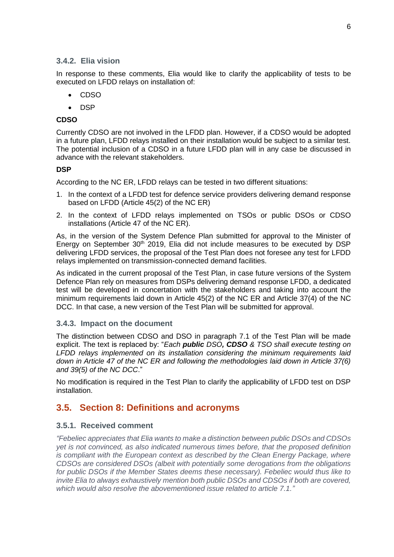### **3.4.2. Elia vision**

In response to these comments, Elia would like to clarify the applicability of tests to be executed on LFDD relays on installation of:

- CDSO
- $\bullet$  DSP

### **CDSO**

Currently CDSO are not involved in the LFDD plan. However, if a CDSO would be adopted in a future plan, LFDD relays installed on their installation would be subject to a similar test. The potential inclusion of a CDSO in a future LFDD plan will in any case be discussed in advance with the relevant stakeholders.

### **DSP**

According to the NC ER, LFDD relays can be tested in two different situations:

- 1. In the context of a LFDD test for defence service providers delivering demand response based on LFDD (Article 45(2) of the NC ER)
- 2. In the context of LFDD relays implemented on TSOs or public DSOs or CDSO installations (Article 47 of the NC ER).

As, in the version of the System Defence Plan submitted for approval to the Minister of Energy on September 30<sup>th</sup> 2019, Elia did not include measures to be executed by DSP delivering LFDD services, the proposal of the Test Plan does not foresee any test for LFDD relays implemented on transmission-connected demand facilities.

As indicated in the current proposal of the Test Plan, in case future versions of the System Defence Plan rely on measures from DSPs delivering demand response LFDD, a dedicated test will be developed in concertation with the stakeholders and taking into account the minimum requirements laid down in Article 45(2) of the NC ER and Article 37(4) of the NC DCC. In that case, a new version of the Test Plan will be submitted for approval.

### **3.4.3. Impact on the document**

The distinction between CDSO and DSO in paragraph 7.1 of the Test Plan will be made explicit. The text is replaced by: "*Each public DSO, CDSO & TSO shall execute testing on LFDD relays implemented on its installation considering the minimum requirements laid down in Article 47 of the NC ER and following the methodologies laid down in Article 37(6) and 39(5) of the NC DCC*."

No modification is required in the Test Plan to clarify the applicability of LFDD test on DSP installation.

### **3.5. Section 8: Definitions and acronyms**

### **3.5.1. Received comment**

*"Febeliec appreciates that Elia wants to make a distinction between public DSOs and CDSOs yet is not convinced, as also indicated numerous times before, that the proposed definition is compliant with the European context as described by the Clean Energy Package, where CDSOs are considered DSOs (albeit with potentially some derogations from the obligations for public DSOs if the Member States deems these necessary). Febeliec would thus like to invite Elia to always exhaustively mention both public DSOs and CDSOs if both are covered, which would also resolve the abovementioned issue related to article 7.1."*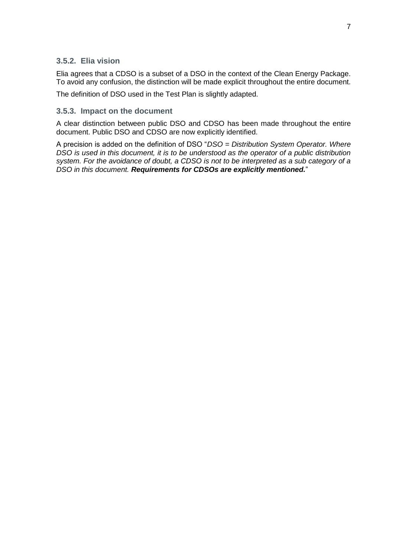### **3.5.2. Elia vision**

Elia agrees that a CDSO is a subset of a DSO in the context of the Clean Energy Package. To avoid any confusion, the distinction will be made explicit throughout the entire document.

The definition of DSO used in the Test Plan is slightly adapted.

### **3.5.3. Impact on the document**

A clear distinction between public DSO and CDSO has been made throughout the entire document. Public DSO and CDSO are now explicitly identified.

A precision is added on the definition of DSO "*DSO = Distribution System Operator. Where DSO is used in this document, it is to be understood as the operator of a public distribution system. For the avoidance of doubt, a CDSO is not to be interpreted as a sub category of a DSO in this document. Requirements for CDSOs are explicitly mentioned.*"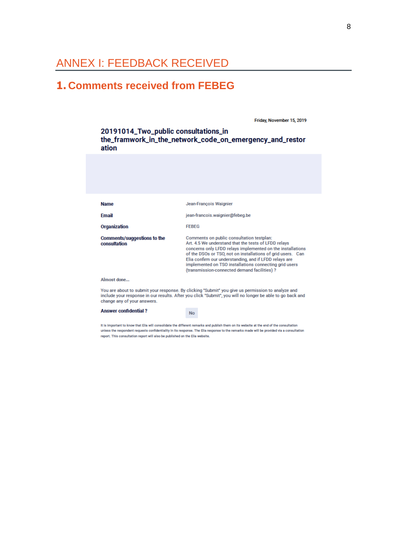## ANNEX I: FEEDBACK RECEIVED

## **1. Comments received from FEBEG**

Friday, November 15, 2019

20191014\_Two\_public consultations\_in the\_framwork\_in\_the\_network\_code\_on\_emergency\_and\_restor ation

| <b>Name</b>                                 | Jean-François Waignier                                                                                                                                                                                                                                                                                                                                                                            |
|---------------------------------------------|---------------------------------------------------------------------------------------------------------------------------------------------------------------------------------------------------------------------------------------------------------------------------------------------------------------------------------------------------------------------------------------------------|
| <b>Email</b>                                | jean-francois.waignier@febeg.be                                                                                                                                                                                                                                                                                                                                                                   |
| Organization                                | <b>FEBEG</b>                                                                                                                                                                                                                                                                                                                                                                                      |
| Comments/suggestions to the<br>consultation | Comments on public consultation testplan:<br>Art. 4.5 We understand that the tests of LFDD relays<br>concerns only LFDD relays implemented on the installations<br>of the DSOs or TSO, not on installations of grid users. Can<br>Elia confirm our understanding, and if LFDD relays are<br>implemented on TSO installations connecting grid users<br>(transmission-connected demand facilities)? |
| Almost done                                 |                                                                                                                                                                                                                                                                                                                                                                                                   |
|                                             |                                                                                                                                                                                                                                                                                                                                                                                                   |

You are about to submit your response. By clicking "Submit" you give us permission to analyze and<br>include your response in our results. After you click "Submit", you will no longer be able to go back and change any of your answers.

**Answer confidential?** 

**No** 

It is important to know that Elia will consolidate the different remarks and publish them on its website at the end of the consultation unless the respondent requests confidentiality in its response. The Elia response to the remarks made will be provided via a consultation report. This consultation report will also be published on the Elia website.